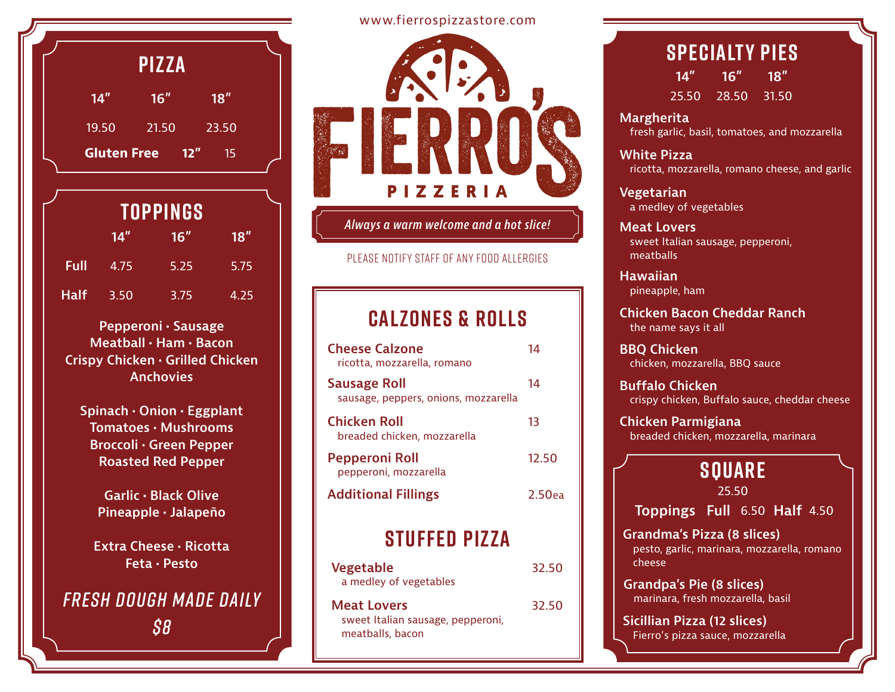|                    | <b>PIZZA</b> |           |  |
|--------------------|--------------|-----------|--|
| $14$ "             | 16''         | 18"       |  |
| 19.50              | 21.50        | 23.50     |  |
| <b>Gluten Free</b> |              | 12"<br>15 |  |

| TOPPINGS    |      |      |      |
|-------------|------|------|------|
|             | 14"  | 16'' | 18'' |
| Full        | 4.75 | 5.25 | 5.75 |
| <b>Half</b> | 3.50 | 3.75 | 4.25 |

**Pepperoni • Sausage Meatball • Ham • Bacon Crispy Chicken • Grilled Chicken Anchovies**

**Spinach • Onion • Eggplant Tomatoes • Mushrooms Broccoli • Green Pepper Roasted Red Pepper**

> **Garlic • Black Olive Pineapple • Jalapeño**

**Extra Cheese • Ricotta Feta • Pesto**

#### *Fresh Dough Made Daily \$8*

#### www.fierrospizzastore.com



*Always a warm welcome and a hot slice!*

please notify staff of any food allergies

#### **calzones & rolls**

| <b>Cheese Calzone</b><br>ricotta, mozzarella, romano        | 14     |
|-------------------------------------------------------------|--------|
| <b>Sausage Roll</b><br>sausage, peppers, onions, mozzarella | 14     |
| <b>Chicken Roll</b><br>breaded chicken, mozzarella          | 13     |
| <b>Pepperoni Roll</b><br>pepperoni, mozzarella              | 12.50  |
| <b>Additional Fillings</b>                                  | 2.50ea |

#### **stuffed pizza**

| Vegetable              | 32.50 |
|------------------------|-------|
| a medley of vegetables |       |

32.50

**Meat Lovers** sweet Italian sausage, pepperoni, meatballs, bacon

#### **Specialty pies 14" 16" 18"**

25.50 28.50 31.50

**Margherita** fresh garlic, basil, tomatoes, and mozzarella

**White Pizza** ricotta, mozzarella, romano cheese, and garlic

**Vegetarian** a medley of vegetables

**Meat Lovers** sweet Italian sausage, pepperoni, meatballs

**Hawaiian** pineapple, ham

**Chicken Bacon Cheddar Ranch** the name says it all

**BBQ Chicken** chicken, mozzarella, BBQ sauce

**Buffalo Chicken** crispy chicken, Buffalo sauce, cheddar cheese

**Chicken Parmigiana** breaded chicken, mozzarella, marinara

## **Square**

25.50

**Toppings Full** 6.50 **Half** 4.50

**Grandma's Pizza (8 slices)** pesto, garlic, marinara, mozzarella, romano cheese

**Grandpa's Pie (8 slices)** marinara, fresh mozzarella, basil

**Sicillian Pizza (12 slices)** Fierro's pizza sauce, mozzarella